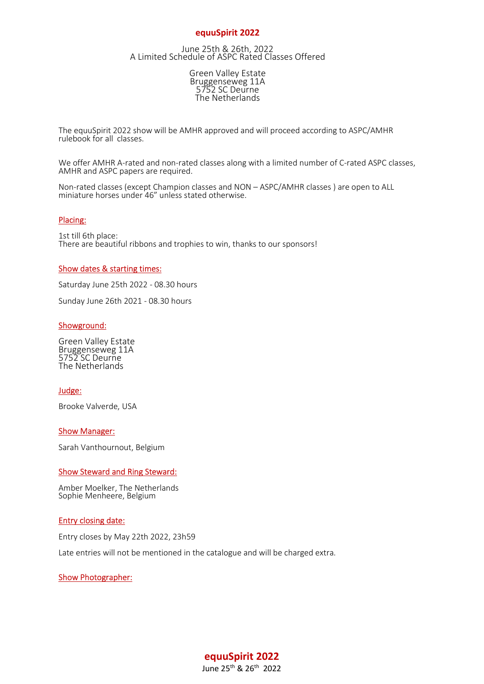# equuSpirit 2022

June 25th & 26th, 2022 A Limited Schedule of ASPC Rated Classes Offered

> Green Valley Estate Bruggenseweg 11A 5752 SC Deurne The Netherlands

 The equuSpirit 2022 show will be AMHR approved and will proceed according to ASPC/AMHR rulebook for all classes.

We offer AMHR A-rated and non-rated classes along with a limited number of C-rated ASPC classes, AMHR and ASPC papers are required.

 Non-rated classes (except Champion classes and NON – ASPC/AMHR classes ) are open to ALL miniature horses under 46" unless stated otherwise.

#### Placing:

 1st till 6th place: There are beautiful ribbons and trophies to win, thanks to our sponsors!

#### Show dates & starting times:

Saturday June 25th 2022 - 08.30 hours

Sunday June 26th 2021 - 08.30 hours

#### Showground:

Green Valley Estate Bruggenseweg 11A 5752 SC Deurne The Netherlands

## Judge:

Brooke Valverde, USA

#### Show Manager:

Sarah Vanthournout, Belgium

#### Show Steward and Ring Steward:

 Amber Moelker, The Netherlands Sophie Menheere, Belgium

#### Entry closing date:

Entry closes by May 22th 2022, 23h59

Late entries will not be mentioned in the catalogue and will be charged extra.

#### Show Photographer:

equuSpirit 2022 June 25th & 26th 2022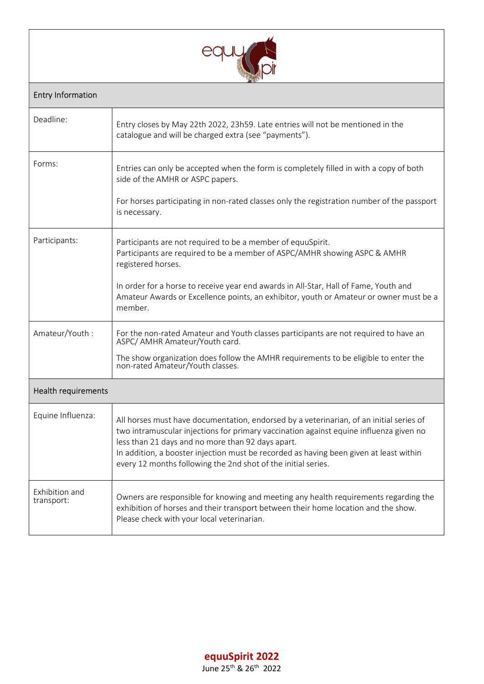

# Entry Information

| Deadline:                    | Entry closes by May 22th 2022, 23h59. Late entries will not be mentioned in the<br>catalogue and will be charged extra (see "payments").                                                                                                                                                                                                                                                          |
|------------------------------|---------------------------------------------------------------------------------------------------------------------------------------------------------------------------------------------------------------------------------------------------------------------------------------------------------------------------------------------------------------------------------------------------|
| Forms:                       | Entries can only be accepted when the form is completely filled in with a copy of both<br>side of the AMHR or ASPC papers.<br>For horses participating in non-rated classes only the registration number of the passport                                                                                                                                                                          |
|                              | is necessary.                                                                                                                                                                                                                                                                                                                                                                                     |
| Participants:                | Participants are not required to be a member of equuSpirit.<br>Participants are required to be a member of ASPC/AMHR showing ASPC & AMHR<br>registered horses.                                                                                                                                                                                                                                    |
|                              | In order for a horse to receive year end awards in All-Star, Hall of Fame, Youth and<br>Amateur Awards or Excellence points, an exhibitor, youth or Amateur or owner must be a<br>member.                                                                                                                                                                                                         |
| Amateur/Youth:               | For the non-rated Amateur and Youth classes participants are not required to have an<br>ASPC/ AMHR Amateur/Youth card.                                                                                                                                                                                                                                                                            |
|                              | The show organization does follow the AMHR requirements to be eligible to enter the<br>non-rated Amateur/Youth classes.                                                                                                                                                                                                                                                                           |
| <b>Health requirements</b>   |                                                                                                                                                                                                                                                                                                                                                                                                   |
| Equine Influenza:            | All horses must have documentation, endorsed by a veterinarian, of an initial series of<br>two intramuscular injections for primary vaccination against equine influenza given no<br>less than 21 days and no more than 92 days apart.<br>In addition, a booster injection must be recorded as having been given at least within<br>every 12 months following the 2nd shot of the initial series. |
| Exhibition and<br>transport: | Owners are responsible for knowing and meeting any health requirements regarding the<br>exhibition of horses and their transport between their home location and the show.<br>Please check with your local veterinarian.                                                                                                                                                                          |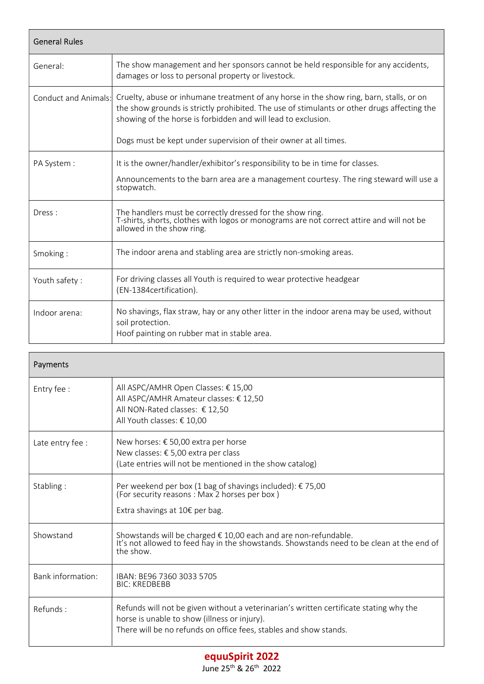| <b>General Rules</b> |                                                                                                                                                                                                                                                         |  |
|----------------------|---------------------------------------------------------------------------------------------------------------------------------------------------------------------------------------------------------------------------------------------------------|--|
| General:             | The show management and her sponsors cannot be held responsible for any accidents,<br>damages or loss to personal property or livestock.                                                                                                                |  |
| Conduct and Animals: | Cruelty, abuse or inhumane treatment of any horse in the show ring, barn, stalls, or on<br>the show grounds is strictly prohibited. The use of stimulants or other drugs affecting the<br>showing of the horse is forbidden and will lead to exclusion. |  |
|                      | Dogs must be kept under supervision of their owner at all times.                                                                                                                                                                                        |  |
| PA System :          | It is the owner/handler/exhibitor's responsibility to be in time for classes.<br>Announcements to the barn area are a management courtesy. The ring steward will use a<br>stopwatch.                                                                    |  |
| Dress:               | The handlers must be correctly dressed for the show ring.<br>T-shirts, shorts, clothes with logos or monograms are not correct attire and will not be<br>allowed in the show ring.                                                                      |  |
| Smoking:             | The indoor arena and stabling area are strictly non-smoking areas.                                                                                                                                                                                      |  |
| Youth safety:        | For driving classes all Youth is required to wear protective headgear<br>(EN-1384certification).                                                                                                                                                        |  |
| Indoor arena:        | No shavings, flax straw, hay or any other litter in the indoor arena may be used, without<br>soil protection.<br>Hoof painting on rubber mat in stable area.                                                                                            |  |

| Payments          |                                                                                                                                                                                                             |
|-------------------|-------------------------------------------------------------------------------------------------------------------------------------------------------------------------------------------------------------|
| Entry fee :       | All ASPC/AMHR Open Classes: € 15,00<br>All ASPC/AMHR Amateur classes: € 12,50<br>All NON-Rated classes: € 12,50<br>All Youth classes: € 10,00                                                               |
| Late entry fee :  | New horses: € 50,00 extra per horse<br>New classes: € 5,00 extra per class<br>(Late entries will not be mentioned in the show catalog)                                                                      |
| Stabling:         | Per weekend per box (1 bag of shavings included): €75,00 (For security reasons : Max 2 horses per box)<br>Extra shavings at $10 \epsilon$ per bag.                                                          |
| Showstand         | Showstands will be charged € 10,00 each and are non-refundable.<br>It's not allowed to feed hay in the showstands. Showstands need to be clean at the end of<br>the show.                                   |
| Bank information: | IBAN: BE96 7360 3033 5705<br><b>BIC: KREDBEBB</b>                                                                                                                                                           |
| Refunds:          | Refunds will not be given without a veterinarian's written certificate stating why the<br>horse is unable to show (illness or injury).<br>There will be no refunds on office fees, stables and show stands. |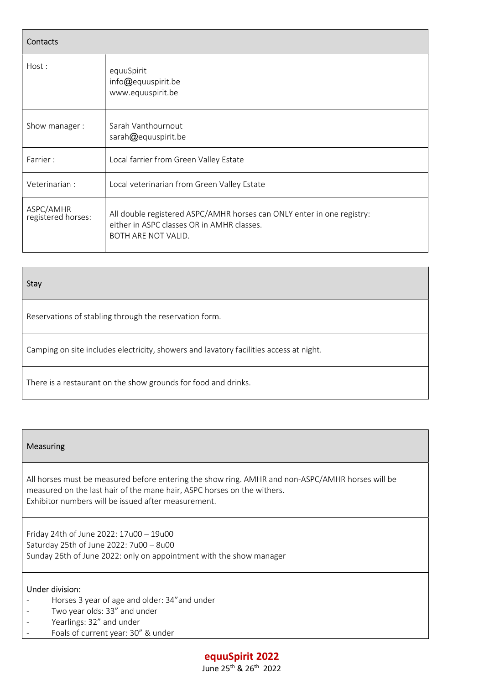| Contacts                        |                                                                                                                                             |  |
|---------------------------------|---------------------------------------------------------------------------------------------------------------------------------------------|--|
| Host:                           | equuSpirit<br>info@equuspirit.be<br>www.equuspirit.be                                                                                       |  |
| Show manager:                   | Sarah Vanthournout<br>sarah@equuspirit.be                                                                                                   |  |
| Farrier:                        | Local farrier from Green Valley Estate                                                                                                      |  |
| Veterinarian :                  | Local veterinarian from Green Valley Estate                                                                                                 |  |
| ASPC/AMHR<br>registered horses: | All double registered ASPC/AMHR horses can ONLY enter in one registry:<br>either in ASPC classes OR in AMHR classes.<br>BOTH ARE NOT VALID. |  |

# Stay

Reservations of stabling through the reservation form.

Camping on site includes electricity, showers and lavatory facilities access at night.

There is a restaurant on the show grounds for food and drinks.

## Measuring

 All horses must be measured before entering the show ring. AMHR and non-ASPC/AMHR horses will be measured on the last hair of the mane hair, ASPC horses on the withers. Exhibitor numbers will be issued after measurement.

 Friday 24th of June 2022: 17u00 – 19u00 Saturday 25th of June 2022: 7u00 – 8u00 Sunday 26th of June 2022: only on appointment with the show manager

#### Under division:

- Horses 3 year of age and older: 34"and under
- Two year olds: 33" and under
- Yearlings: 32" and under
- Foals of current year: 30" & under

# equuSpirit 2022

June 25th & 26th 2022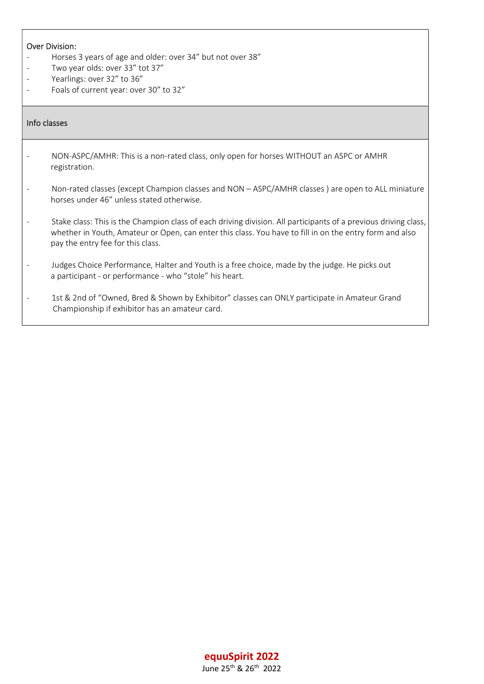## Over Division:

- Horses 3 years of age and older: over 34" but not over 38"
- Two year olds: over 33" tot 37"
- Yearlings: over 32" to 36"
- Foals of current year: over 30" to 32"

# Info classes

- NON-ASPC/AMHR: This is a non-rated class, only open for horses WITHOUT an ASPC or AMHR registration.
- Non-rated classes (except Champion classes and NON ASPC/AMHR classes ) are open to ALL miniature horses under 46" unless stated otherwise.
- Stake class: This is the Champion class of each driving division. All participants of a previous driving class, whether in Youth, Amateur or Open, can enter this class. You have to fill in on the entry form and also pay the entry fee for this class.
- Judges Choice Performance, Halter and Youth is a free choice, made by the judge. He picks out a participant - or performance - who "stole" his heart.
- 1st & 2nd of "Owned, Bred & Shown by Exhibitor" classes can ONLY participate in Amateur Grand Championship if exhibitor has an amateur card.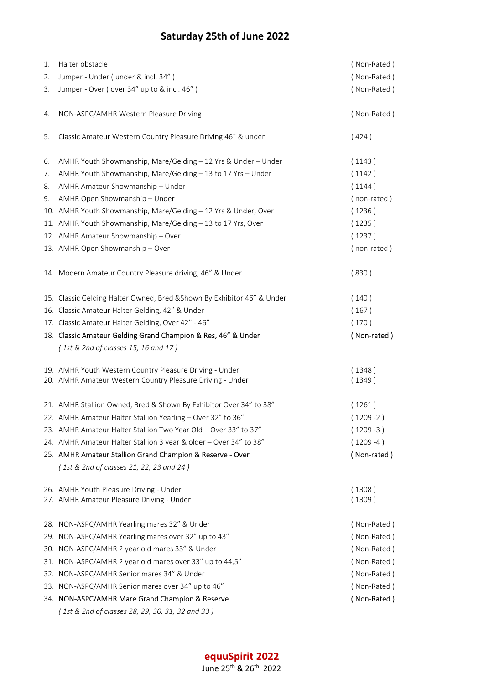# Saturday 25th of June 2022

| 1. | Halter obstacle                                                                                                      | (Non-Rated)      |
|----|----------------------------------------------------------------------------------------------------------------------|------------------|
| 2. | Jumper - Under (under & incl. 34")                                                                                   | (Non-Rated)      |
| 3. | Jumper - Over (over 34" up to & incl. 46")                                                                           | (Non-Rated)      |
| 4. | NON-ASPC/AMHR Western Pleasure Driving                                                                               | (Non-Rated)      |
| 5. | Classic Amateur Western Country Pleasure Driving 46" & under                                                         | (424)            |
| 6. | AMHR Youth Showmanship, Mare/Gelding - 12 Yrs & Under - Under                                                        | (1143)           |
| 7. | AMHR Youth Showmanship, Mare/Gelding - 13 to 17 Yrs - Under                                                          | (1142)           |
| 8. | AMHR Amateur Showmanship - Under                                                                                     | (1144)           |
| 9. | AMHR Open Showmanship - Under                                                                                        | (non-rated)      |
|    | 10. AMHR Youth Showmanship, Mare/Gelding - 12 Yrs & Under, Over                                                      | (1236)           |
|    | 11. AMHR Youth Showmanship, Mare/Gelding - 13 to 17 Yrs, Over                                                        | (1235)           |
|    | 12. AMHR Amateur Showmanship - Over                                                                                  | (1237)           |
|    | 13. AMHR Open Showmanship - Over                                                                                     | (non-rated)      |
|    | 14. Modern Amateur Country Pleasure driving, 46" & Under                                                             | (830)            |
|    | 15. Classic Gelding Halter Owned, Bred & Shown By Exhibitor 46" & Under                                              | (140)            |
|    | 16. Classic Amateur Halter Gelding, 42" & Under                                                                      | (167)            |
|    | 17. Classic Amateur Halter Gelding, Over 42" - 46"                                                                   | (170)            |
|    | 18. Classic Amateur Gelding Grand Champion & Res, 46" & Under                                                        | (Non-rated)      |
|    | $(1st & 2nd$ of classes 15, 16 and 17)                                                                               |                  |
|    | 19. AMHR Youth Western Country Pleasure Driving - Under<br>20. AMHR Amateur Western Country Pleasure Driving - Under | (1348)<br>(1349) |
|    | 21. AMHR Stallion Owned, Bred & Shown By Exhibitor Over 34" to 38"                                                   | (1261)           |
|    | 22. AMHR Amateur Halter Stallion Yearling - Over 32" to 36"                                                          | $(1209 - 2)$     |
|    | 23. AMHR Amateur Halter Stallion Two Year Old - Over 33" to 37"                                                      | $(1209 - 3)$     |
|    | 24. AMHR Amateur Halter Stallion 3 year & older - Over 34" to 38"                                                    | $(1209 - 4)$     |
|    | 25. AMHR Amateur Stallion Grand Champion & Reserve - Over                                                            | (Non-rated)      |
|    | (1st & 2nd of classes 21, 22, 23 and 24)                                                                             |                  |
|    | 26. AMHR Youth Pleasure Driving - Under<br>27. AMHR Amateur Pleasure Driving - Under                                 | (1308)<br>(1309) |
|    | 28. NON-ASPC/AMHR Yearling mares 32" & Under                                                                         | (Non-Rated)      |
|    | 29. NON-ASPC/AMHR Yearling mares over 32" up to 43"                                                                  | (Non-Rated)      |
|    | 30. NON-ASPC/AMHR 2 year old mares 33" & Under                                                                       | (Non-Rated)      |
|    | 31. NON-ASPC/AMHR 2 year old mares over 33" up to 44,5"                                                              | (Non-Rated)      |
|    | 32. NON-ASPC/AMHR Senior mares 34" & Under                                                                           | (Non-Rated)      |
|    | 33. NON-ASPC/AMHR Senior mares over 34" up to 46"                                                                    | (Non-Rated)      |
|    | 34. NON-ASPC/AMHR Mare Grand Champion & Reserve                                                                      | (Non-Rated)      |
|    | (1st & 2nd of classes 28, 29, 30, 31, 32 and 33)                                                                     |                  |

# equuSpirit 2022

June 25th & 26th 2022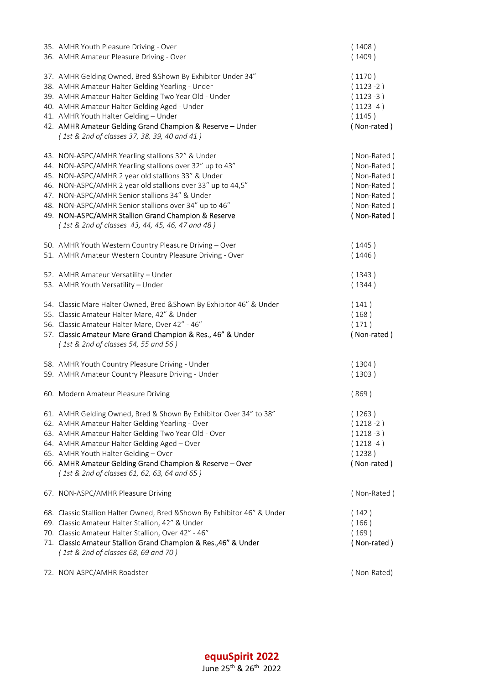| 35. AMHR Youth Pleasure Driving - Over<br>36. AMHR Amateur Pleasure Driving - Over                                                                                                                                                                                                                                                                                                                                                                     | (1408)<br>(1409)                                                                                      |
|--------------------------------------------------------------------------------------------------------------------------------------------------------------------------------------------------------------------------------------------------------------------------------------------------------------------------------------------------------------------------------------------------------------------------------------------------------|-------------------------------------------------------------------------------------------------------|
| 37. AMHR Gelding Owned, Bred & Shown By Exhibitor Under 34"<br>38. AMHR Amateur Halter Gelding Yearling - Under<br>39. AMHR Amateur Halter Gelding Two Year Old - Under<br>40. AMHR Amateur Halter Gelding Aged - Under<br>41. AMHR Youth Halter Gelding - Under<br>42. AMHR Amateur Gelding Grand Champion & Reserve - Under<br>(1st & 2nd of classes 37, 38, 39, 40 and 41)                                                                          | (1170)<br>$(1123 - 2)$<br>$(1123 - 3)$<br>$(1123 - 4)$<br>(1145)<br>(Non-rated)                       |
| 43. NON-ASPC/AMHR Yearling stallions 32" & Under<br>44. NON-ASPC/AMHR Yearling stallions over 32" up to 43"<br>45. NON-ASPC/AMHR 2 year old stallions 33" & Under<br>46. NON-ASPC/AMHR 2 year old stallions over 33" up to 44,5"<br>47. NON-ASPC/AMHR Senior stallions 34" & Under<br>48. NON-ASPC/AMHR Senior stallions over 34" up to 46"<br>49. NON-ASPC/AMHR Stallion Grand Champion & Reserve<br>(1st & 2nd of classes 43, 44, 45, 46, 47 and 48) | (Non-Rated)<br>(Non-Rated)<br>(Non-Rated)<br>(Non-Rated)<br>(Non-Rated)<br>(Non-Rated)<br>(Non-Rated) |
| 50. AMHR Youth Western Country Pleasure Driving - Over<br>51. AMHR Amateur Western Country Pleasure Driving - Over                                                                                                                                                                                                                                                                                                                                     | (1445)<br>(1446)                                                                                      |
| 52. AMHR Amateur Versatility - Under<br>53. AMHR Youth Versatility - Under                                                                                                                                                                                                                                                                                                                                                                             | (1343)<br>(1344)                                                                                      |
| 54. Classic Mare Halter Owned, Bred & Shown By Exhibitor 46" & Under<br>55. Classic Amateur Halter Mare, 42" & Under<br>56. Classic Amateur Halter Mare, Over 42" - 46"<br>57. Classic Amateur Mare Grand Champion & Res., 46" & Under<br>(1st & 2nd of classes 54, 55 and 56)                                                                                                                                                                         | (141)<br>(168)<br>(171)<br>(Non-rated)                                                                |
| 58. AMHR Youth Country Pleasure Driving - Under<br>59. AMHR Amateur Country Pleasure Driving - Under                                                                                                                                                                                                                                                                                                                                                   | (1304)<br>(1303)                                                                                      |
| 60. Modern Amateur Pleasure Driving                                                                                                                                                                                                                                                                                                                                                                                                                    | (869)                                                                                                 |
| 61. AMHR Gelding Owned, Bred & Shown By Exhibitor Over 34" to 38"<br>62. AMHR Amateur Halter Gelding Yearling - Over<br>63. AMHR Amateur Halter Gelding Two Year Old - Over<br>64. AMHR Amateur Halter Gelding Aged - Over<br>65. AMHR Youth Halter Gelding - Over<br>66. AMHR Amateur Gelding Grand Champion & Reserve - Over<br>(1st & 2nd of classes 61, 62, 63, 64 and 65)                                                                         | (1263)<br>$(1218 - 2)$<br>$(1218 - 3)$<br>$(1218 - 4)$<br>(1238)<br>(Non-rated)                       |
| 67. NON-ASPC/AMHR Pleasure Driving                                                                                                                                                                                                                                                                                                                                                                                                                     | (Non-Rated)                                                                                           |
| 68. Classic Stallion Halter Owned, Bred & Shown By Exhibitor 46" & Under<br>69. Classic Amateur Halter Stallion, 42" & Under<br>70. Classic Amateur Halter Stallion, Over 42" - 46"<br>71. Classic Amateur Stallion Grand Champion & Res., 46" & Under<br>(1st & 2nd of classes 68, 69 and 70)                                                                                                                                                         | (142)<br>(166)<br>(169)<br>(Non-rated)                                                                |
| 72. NON-ASPC/AMHR Roadster                                                                                                                                                                                                                                                                                                                                                                                                                             | (Non-Rated)                                                                                           |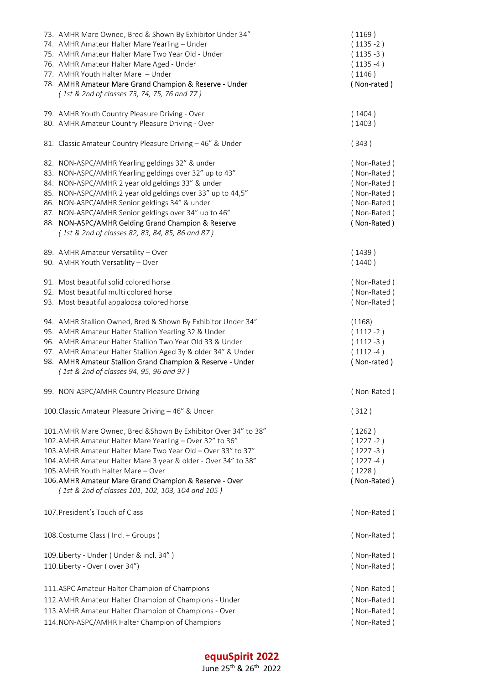| 73. AMHR Mare Owned, Bred & Shown By Exhibitor Under 34"<br>74. AMHR Amateur Halter Mare Yearling - Under<br>75. AMHR Amateur Halter Mare Two Year Old - Under<br>76. AMHR Amateur Halter Mare Aged - Under<br>77. AMHR Youth Halter Mare - Under<br>78. AMHR Amateur Mare Grand Champion & Reserve - Under<br>(1st & 2nd of classes 73, 74, 75, 76 and 77)                                                                                     | (1169)<br>$(1135 - 2)$<br>$(1135 - 3)$<br>$(1135 - 4)$<br>(1146)<br>(Non-rated)                       |
|-------------------------------------------------------------------------------------------------------------------------------------------------------------------------------------------------------------------------------------------------------------------------------------------------------------------------------------------------------------------------------------------------------------------------------------------------|-------------------------------------------------------------------------------------------------------|
| 79. AMHR Youth Country Pleasure Driving - Over<br>80. AMHR Amateur Country Pleasure Driving - Over                                                                                                                                                                                                                                                                                                                                              | (1404)<br>(1403)                                                                                      |
| 81. Classic Amateur Country Pleasure Driving - 46" & Under                                                                                                                                                                                                                                                                                                                                                                                      | (343)                                                                                                 |
| 82. NON-ASPC/AMHR Yearling geldings 32" & under<br>83. NON-ASPC/AMHR Yearling geldings over 32" up to 43"<br>84. NON-ASPC/AMHR 2 year old geldings 33" & under<br>85. NON-ASPC/AMHR 2 year old geldings over 33" up to 44,5"<br>86. NON-ASPC/AMHR Senior geldings 34" & under<br>87. NON-ASPC/AMHR Senior geldings over 34" up to 46"<br>88. NON-ASPC/AMHR Gelding Grand Champion & Reserve<br>(1st & 2nd of classes 82, 83, 84, 85, 86 and 87) | (Non-Rated)<br>(Non-Rated)<br>(Non-Rated)<br>(Non-Rated)<br>(Non-Rated)<br>(Non-Rated)<br>(Non-Rated) |
| 89. AMHR Amateur Versatility - Over<br>90. AMHR Youth Versatility - Over                                                                                                                                                                                                                                                                                                                                                                        | (1439)<br>(1440)                                                                                      |
| 91. Most beautiful solid colored horse<br>92. Most beautiful multi colored horse<br>93. Most beautiful appaloosa colored horse                                                                                                                                                                                                                                                                                                                  | (Non-Rated)<br>(Non-Rated)<br>(Non-Rated)                                                             |
| 94. AMHR Stallion Owned, Bred & Shown By Exhibitor Under 34"<br>95. AMHR Amateur Halter Stallion Yearling 32 & Under<br>96. AMHR Amateur Halter Stallion Two Year Old 33 & Under<br>97. AMHR Amateur Halter Stallion Aged 3y & older 34" & Under<br>98. AMHR Amateur Stallion Grand Champion & Reserve - Under<br>(1st & 2nd of classes 94, 95, 96 and 97)                                                                                      | (1168)<br>$(1112 - 2)$<br>$(1112 - 3)$<br>$(1112 - 4)$<br>(Non-rated)                                 |
| 99. NON-ASPC/AMHR Country Pleasure Driving                                                                                                                                                                                                                                                                                                                                                                                                      | (Non-Rated)                                                                                           |
| 100. Classic Amateur Pleasure Driving - 46" & Under                                                                                                                                                                                                                                                                                                                                                                                             | (312)                                                                                                 |
| 101.AMHR Mare Owned, Bred & Shown By Exhibitor Over 34" to 38"<br>102. AMHR Amateur Halter Mare Yearling - Over 32" to 36"<br>103. AMHR Amateur Halter Mare Two Year Old - Over 33" to 37"<br>104. AMHR Amateur Halter Mare 3 year & older - Over 34" to 38"<br>105. AMHR Youth Halter Mare - Over<br>106. AMHR Amateur Mare Grand Champion & Reserve - Over<br>(1st & 2nd of classes 101, 102, 103, 104 and 105)                               | (1262)<br>$(1227 - 2)$<br>$(1227 - 3)$<br>$(1227 - 4)$<br>(1228)<br>(Non-Rated)                       |
| 107. President's Touch of Class                                                                                                                                                                                                                                                                                                                                                                                                                 | (Non-Rated)                                                                                           |
| 108. Costume Class (Ind. + Groups)                                                                                                                                                                                                                                                                                                                                                                                                              | (Non-Rated)                                                                                           |
| 109. Liberty - Under (Under & incl. 34")<br>110. Liberty - Over (over 34")                                                                                                                                                                                                                                                                                                                                                                      | (Non-Rated)<br>(Non-Rated)                                                                            |
| 111. ASPC Amateur Halter Champion of Champions<br>112. AMHR Amateur Halter Champion of Champions - Under<br>113. AMHR Amateur Halter Champion of Champions - Over<br>114. NON-ASPC/AMHR Halter Champion of Champions                                                                                                                                                                                                                            | (Non-Rated)<br>(Non-Rated)<br>(Non-Rated)<br>(Non-Rated)                                              |

# equuSpirit 2022

June 25th & 26th 2022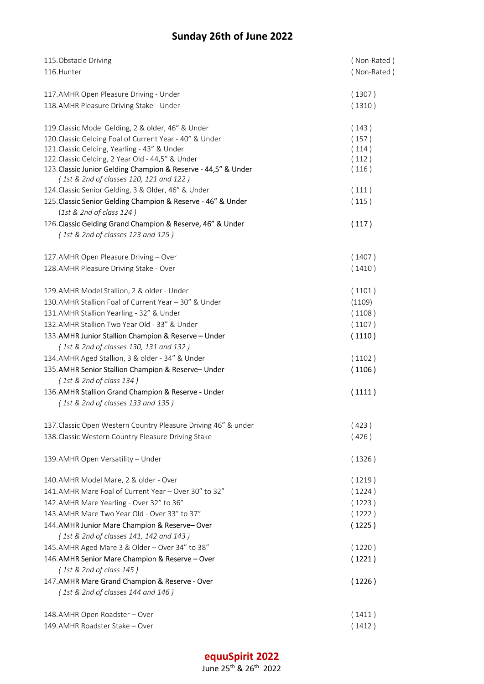# Sunday 26th of June 2022

| 115. Obstacle Driving                                                                                     | (Non-Rated) |
|-----------------------------------------------------------------------------------------------------------|-------------|
| 116. Hunter                                                                                               | (Non-Rated) |
| 117. AMHR Open Pleasure Driving - Under                                                                   | (1307)      |
| 118. AMHR Pleasure Driving Stake - Under                                                                  | (1310)      |
|                                                                                                           |             |
| 119. Classic Model Gelding, 2 & older, 46" & Under                                                        | (143)       |
| 120. Classic Gelding Foal of Current Year - 40" & Under                                                   | (157)       |
| 121. Classic Gelding, Yearling - 43" & Under                                                              | (114)       |
| 122. Classic Gelding, 2 Year Old - 44,5" & Under                                                          | (112)       |
| 123. Classic Junior Gelding Champion & Reserve - 44,5" & Under<br>(1st & 2nd of classes 120, 121 and 122) | (116)       |
| 124. Classic Senior Gelding, 3 & Older, 46" & Under                                                       | (111)       |
| 125. Classic Senior Gelding Champion & Reserve - 46" & Under                                              | (115)       |
| $(1st \& 2nd of class 124)$                                                                               |             |
| 126. Classic Gelding Grand Champion & Reserve, 46" & Under                                                | (117)       |
| (1st & 2nd of classes 123 and 125)                                                                        |             |
| 127. AMHR Open Pleasure Driving - Over                                                                    | (1407)      |
| 128. AMHR Pleasure Driving Stake - Over                                                                   | (1410)      |
| 129. AMHR Model Stallion, 2 & older - Under                                                               | (1101)      |
| 130. AMHR Stallion Foal of Current Year - 30" & Under                                                     | (1109)      |
| 131.AMHR Stallion Yearling - 32" & Under                                                                  | (1108)      |
| 132. AMHR Stallion Two Year Old - 33" & Under                                                             | (1107)      |
| 133. AMHR Junior Stallion Champion & Reserve - Under                                                      | (1110)      |
| (1st & 2nd of classes 130, 131 and 132)                                                                   |             |
| 134. AMHR Aged Stallion, 3 & older - 34" & Under                                                          | (1102)      |
| 135. AMHR Senior Stallion Champion & Reserve- Under                                                       | (1106)      |
| (1st & 2nd of class 134)                                                                                  |             |
| 136. AMHR Stallion Grand Champion & Reserve - Under                                                       | (1111)      |
| (1st & 2nd of classes 133 and 135)                                                                        |             |
|                                                                                                           |             |
| 137. Classic Open Western Country Pleasure Driving 46" & under                                            | (423)       |
| 138. Classic Western Country Pleasure Driving Stake                                                       | (426)       |
|                                                                                                           |             |
| 139. AMHR Open Versatility - Under                                                                        | (1326)      |
| 140. AMHR Model Mare, 2 & older - Over                                                                    | (1219)      |
| 141.AMHR Mare Foal of Current Year - Over 30" to 32"                                                      | (1224)      |
| 142. AMHR Mare Yearling - Over 32" to 36"                                                                 | (1223)      |
| 143. AMHR Mare Two Year Old - Over 33" to 37"                                                             | (1222)      |
| 144. AMHR Junior Mare Champion & Reserve-Over                                                             | (1225)      |
| (1st & 2nd of classes 141, 142 and 143)                                                                   |             |
| 145.AMHR Aged Mare 3 & Older - Over 34" to 38"                                                            | (1220)      |
| 146. AMHR Senior Mare Champion & Reserve - Over                                                           | (1221)      |
| (1st & 2nd of class 145)                                                                                  |             |
| 147. AMHR Mare Grand Champion & Reserve - Over                                                            | (1226)      |
| (1st & 2nd of classes 144 and 146)                                                                        |             |
| 148. AMHR Open Roadster - Over                                                                            | (1411)      |
| 149. AMHR Roadster Stake - Over                                                                           | (1412)      |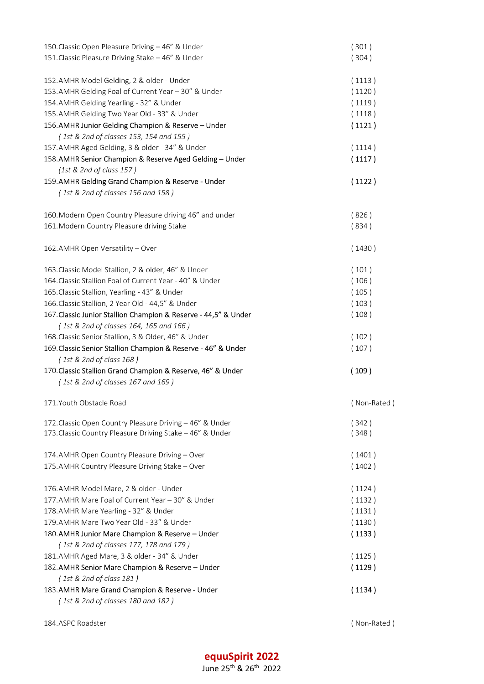| 150. Classic Open Pleasure Driving - 46" & Under                | (301)       |
|-----------------------------------------------------------------|-------------|
| 151. Classic Pleasure Driving Stake - 46" & Under               | (304)       |
|                                                                 |             |
| 152.AMHR Model Gelding, 2 & older - Under                       | (1113)      |
| 153.AMHR Gelding Foal of Current Year - 30" & Under             | (1120)      |
| 154.AMHR Gelding Yearling - 32" & Under                         | (1119)      |
| 155. AMHR Gelding Two Year Old - 33" & Under                    | (1118)      |
| 156.AMHR Junior Gelding Champion & Reserve - Under              | (1121)      |
| (1st & 2nd of classes 153, 154 and 155)                         |             |
| 157.AMHR Aged Gelding, 3 & older - 34" & Under                  | (1114)      |
| 158. AMHR Senior Champion & Reserve Aged Gelding - Under        | (1117)      |
| $(1st \& 2nd of class 157)$                                     |             |
| 159. AMHR Gelding Grand Champion & Reserve - Under              | (1122)      |
| (1st & 2nd of classes 156 and 158)                              |             |
|                                                                 |             |
| 160. Modern Open Country Pleasure driving 46" and under         | (826)       |
| 161. Modern Country Pleasure driving Stake                      | (834)       |
|                                                                 |             |
| 162. AMHR Open Versatility - Over                               | (1430)      |
| 163. Classic Model Stallion, 2 & older, 46" & Under             | (101)       |
| 164. Classic Stallion Foal of Current Year - 40" & Under        | (106)       |
| 165. Classic Stallion, Yearling - 43" & Under                   | (105)       |
| 166. Classic Stallion, 2 Year Old - 44,5" & Under               | (103)       |
| 167. Classic Junior Stallion Champion & Reserve - 44,5" & Under | (108)       |
| (1st & 2nd of classes 164, 165 and 166)                         |             |
| 168. Classic Senior Stallion, 3 & Older, 46" & Under            | (102)       |
| 169. Classic Senior Stallion Champion & Reserve - 46" & Under   | (107)       |
| (1st & 2nd of class 168)                                        |             |
| 170. Classic Stallion Grand Champion & Reserve, 46" & Under     | (109)       |
| (1st & 2nd of classes 167 and 169)                              |             |
|                                                                 |             |
| 171. Youth Obstacle Road                                        | (Non-Rated) |
| 172. Classic Open Country Pleasure Driving - 46" & Under        | (342)       |
| 173. Classic Country Pleasure Driving Stake - 46" & Under       | (348)       |
|                                                                 |             |
| 174. AMHR Open Country Pleasure Driving - Over                  | (1401)      |
| 175. AMHR Country Pleasure Driving Stake - Over                 | (1402)      |
| 176. AMHR Model Mare, 2 & older - Under                         | (1124)      |
| 177. AMHR Mare Foal of Current Year - 30" & Under               | (1132)      |
| 178. AMHR Mare Yearling - 32" & Under                           | (1131)      |
| 179. AMHR Mare Two Year Old - 33" & Under                       | (1130)      |
| 180. AMHR Junior Mare Champion & Reserve - Under                |             |
| (1st & 2nd of classes 177, 178 and 179)                         | (1133)      |
| 181. AMHR Aged Mare, 3 & older - 34" & Under                    | (1125)      |
| 182. AMHR Senior Mare Champion & Reserve - Under                | (1129)      |
| (1st & 2nd of class 181)                                        |             |
| 183. AMHR Mare Grand Champion & Reserve - Under                 | (1134)      |
| (1st & 2nd of classes 180 and 182)                              |             |
|                                                                 |             |

184.ASPC Roadster ( Non-Rated )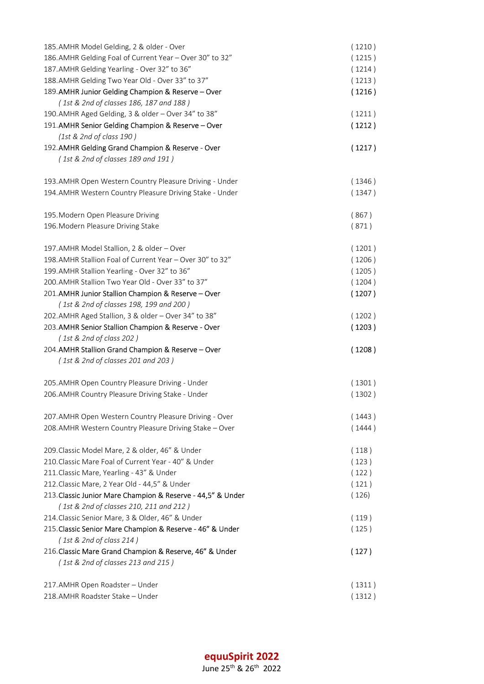| 185.AMHR Model Gelding, 2 & older - Over                                                      | (1210) |
|-----------------------------------------------------------------------------------------------|--------|
| 186.AMHR Gelding Foal of Current Year - Over 30" to 32"                                       | (1215) |
| 187. AMHR Gelding Yearling - Over 32" to 36"                                                  | (1214) |
| 188. AMHR Gelding Two Year Old - Over 33" to 37"                                              | (1213) |
| 189. AMHR Junior Gelding Champion & Reserve - Over                                            | (1216) |
| (1st & 2nd of classes 186, 187 and 188)                                                       |        |
| 190. AMHR Aged Gelding, 3 & older - Over 34" to 38"                                           | (1211) |
| 191. AMHR Senior Gelding Champion & Reserve - Over                                            | (1212) |
| (1st & 2nd of class 190)                                                                      |        |
| 192. AMHR Gelding Grand Champion & Reserve - Over                                             | (1217) |
| (1st & 2nd of classes 189 and 191)                                                            |        |
| 193. AMHR Open Western Country Pleasure Driving - Under                                       | (1346) |
| 194.AMHR Western Country Pleasure Driving Stake - Under                                       | (1347) |
| 195. Modern Open Pleasure Driving                                                             | (867)  |
| 196. Modern Pleasure Driving Stake                                                            | (871)  |
| 197. AMHR Model Stallion, 2 & older - Over                                                    | (1201) |
| 198. AMHR Stallion Foal of Current Year - Over 30" to 32"                                     | (1206) |
| 199. AMHR Stallion Yearling - Over 32" to 36"                                                 | (1205) |
| 200. AMHR Stallion Two Year Old - Over 33" to 37"                                             | (1204) |
| 201. AMHR Junior Stallion Champion & Reserve - Over                                           | (1207) |
| (1st & 2nd of classes 198, 199 and 200)                                                       |        |
| 202.AMHR Aged Stallion, 3 & older - Over 34" to 38"                                           | (1202) |
| 203. AMHR Senior Stallion Champion & Reserve - Over                                           | (1203) |
| (1st & 2nd of class 202)                                                                      |        |
| 204. AMHR Stallion Grand Champion & Reserve - Over                                            | (1208) |
| (1st & 2nd of classes 201 and 203)                                                            |        |
| 205. AMHR Open Country Pleasure Driving - Under                                               | (1301) |
| 206. AMHR Country Pleasure Driving Stake - Under                                              | (1302) |
| 207. AMHR Open Western Country Pleasure Driving - Over                                        | (1443) |
| 208. AMHR Western Country Pleasure Driving Stake - Over                                       | (1444) |
| 209. Classic Model Mare, 2 & older, 46" & Under                                               | (118)  |
| 210. Classic Mare Foal of Current Year - 40" & Under                                          | (123)  |
| 211. Classic Mare, Yearling - 43" & Under                                                     | (122)  |
| 212. Classic Mare, 2 Year Old - 44,5" & Under                                                 | (121)  |
| 213. Classic Junior Mare Champion & Reserve - 44,5" & Under                                   | (126)  |
| (1st & 2nd of classes 210, 211 and 212)                                                       |        |
| 214. Classic Senior Mare, 3 & Older, 46" & Under                                              | (119)  |
| 215. Classic Senior Mare Champion & Reserve - 46" & Under                                     | (125)  |
| (1st & 2nd of class 214)                                                                      |        |
| 216. Classic Mare Grand Champion & Reserve, 46" & Under<br>(1st & 2nd of classes 213 and 215) | (127)  |
|                                                                                               |        |
| 217. AMHR Open Roadster - Under                                                               | (1311) |
| 218. AMHR Roadster Stake - Under                                                              | (1312) |

equuSpirit 2022 June 25th & 26th 2022